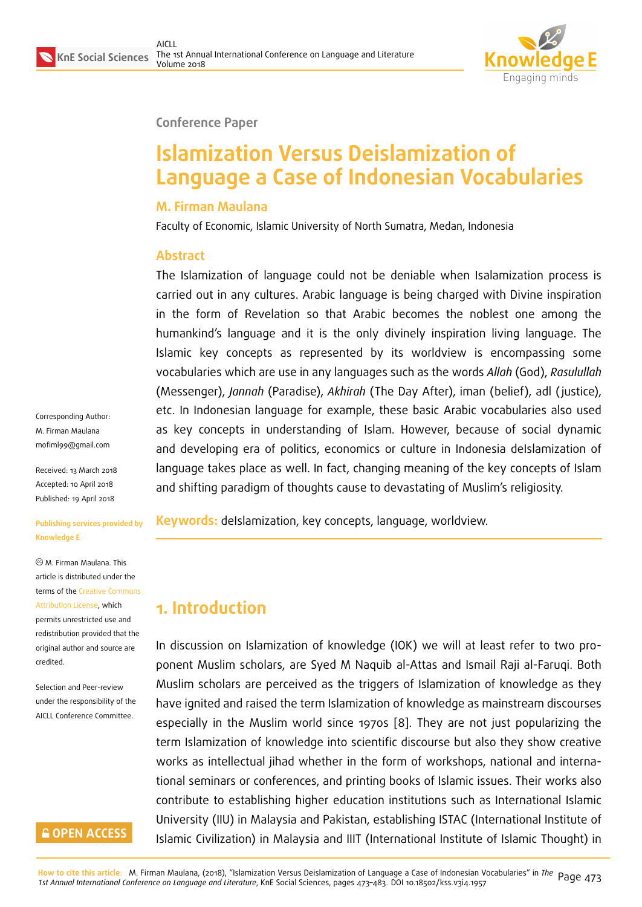

#### **Conference Paper**

# **Islamization Versus Deislamization of Language a Case of Indonesian Vocabularies**

#### **M. Firman Maulana**

Faculty of Economic, Islamic University of North Sumatra, Medan, Indonesia

#### **Abstract**

The Islamization of language could not be deniable when Isalamization process is carried out in any cultures. Arabic language is being charged with Divine inspiration in the form of Revelation so that Arabic becomes the noblest one among the humankind's language and it is the only divinely inspiration living language. The Islamic key concepts as represented by its worldview is encompassing some vocabularies which are use in any languages such as the words *Allah* (God), *Rasulullah* (Messenger), *Jannah* (Paradise), *Akhirah* (The Day After), iman (belief), adl ( justice), etc. In Indonesian language for example, these basic Arabic vocabularies also used as key concepts in understanding of Islam. However, because of social dynamic and developing era of politics, economics or culture in Indonesia deIslamization of language takes place as well. In fact, changing meaning of the key concepts of Islam and shifting paradigm of thoughts cause to devastating of Muslim's religiosity.

**Keywords:** deIslamization, key concepts, language, worldview.

## **1. Introduction**

In discussion on Islamization of knowledge (IOK) we will at least refer to two proponent Muslim scholars, are Syed M Naquib al-Attas and Ismail Raji al-Faruqi. Both Muslim scholars are perceived as the triggers of Islamization of knowledge as they have ignited and raised the term Islamization of knowledge as mainstream discourses especially in the Muslim world since 1970s [8]. They are not just popularizing the term Islamization of knowledge into scientific discourse but also they show creative works as intellectual jihad whether in the form of workshops, national and international seminars or conferences, and printing b[oo](#page-10-0)ks of Islamic issues. Their works also contribute to establishing higher education institutions such as International Islamic University (IIU) in Malaysia and Pakistan, establishing ISTAC (International Institute of Islamic Civilization) in Malaysia and IIIT (International Institute of Islamic Thought) in

Corresponding Author: M. Firman Maulana mofiml99@gmail.com

Received: 13 March 2018 Accepted: 10 April 2018 [Published: 19 April 201](mailto:mofiml99@gmail.com)8

#### **Publishing services provided by Knowledge E**

M. Firman Maulana. This article is distributed under the terms of the Creative Commons Attribution License, which permits unrestricted use and redistribution provided that the original auth[or and source are](https://creativecommons.org/licenses/by/4.0/) [credited.](https://creativecommons.org/licenses/by/4.0/)

Selection and Peer-review under the responsibility of the AICLL Conference Committee.

#### **GOPEN ACCESS**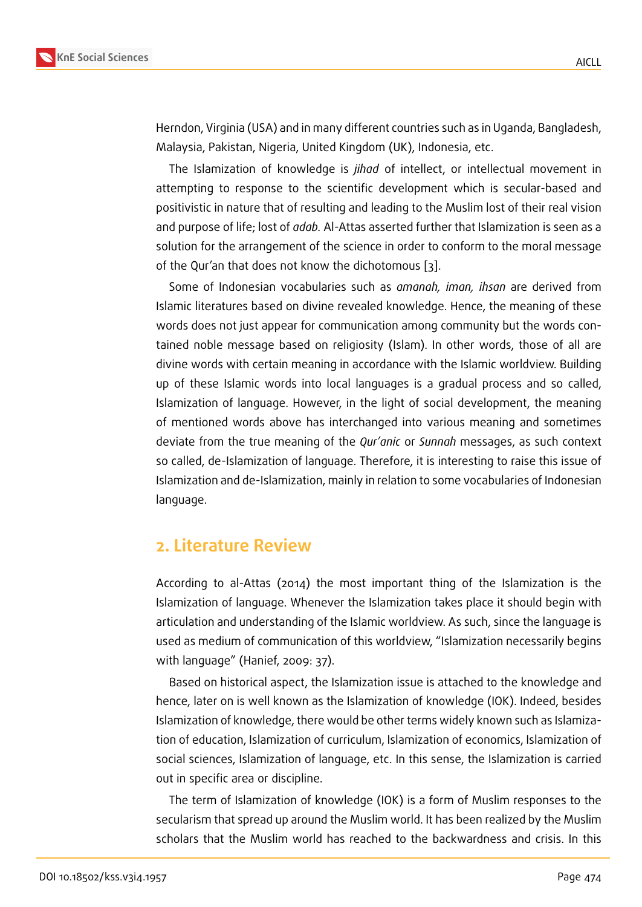Herndon, Virginia (USA) and in many different countries such as in Uganda, Bangladesh, Malaysia, Pakistan, Nigeria, United Kingdom (UK), Indonesia, etc.

The Islamization of knowledge is *jihad* of intellect, or intellectual movement in attempting to response to the scientific development which is secular-based and positivistic in nature that of resulting and leading to the Muslim lost of their real vision and purpose of life; lost of *adab.* Al-Attas asserted further that Islamization is seen as a solution for the arrangement of the science in order to conform to the moral message of the Qur'an that does not know the dichotomous [3].

Some of Indonesian vocabularies such as *amanah, iman, ihsan* are derived from Islamic literatures based on divine revealed knowledge. Hence, the meaning of these words does not just appear for communication amo[ng](#page-9-0) community but the words contained noble message based on religiosity (Islam). In other words, those of all are divine words with certain meaning in accordance with the Islamic worldview. Building up of these Islamic words into local languages is a gradual process and so called, Islamization of language. However, in the light of social development, the meaning of mentioned words above has interchanged into various meaning and sometimes deviate from the true meaning of the *Qur'anic* or *Sunnah* messages, as such context so called, de-Islamization of language. Therefore, it is interesting to raise this issue of Islamization and de-Islamization, mainly in relation to some vocabularies of Indonesian language.

#### **2. Literature Review**

According to al-Attas (2014) the most important thing of the Islamization is the Islamization of language. Whenever the Islamization takes place it should begin with articulation and understanding of the Islamic worldview. As such, since the language is used as medium of communication of this worldview, "Islamization necessarily begins with language" (Hanief, 2009: 37).

Based on historical aspect, the Islamization issue is attached to the knowledge and hence, later on is well known as the Islamization of knowledge (IOK). Indeed, besides Islamization of knowledge, there would be other terms widely known such as Islamization of education, Islamization of curriculum, Islamization of economics, Islamization of social sciences, Islamization of language, etc. In this sense, the Islamization is carried out in specific area or discipline.

The term of Islamization of knowledge (IOK) is a form of Muslim responses to the secularism that spread up around the Muslim world. It has been realized by the Muslim scholars that the Muslim world has reached to the backwardness and crisis. In this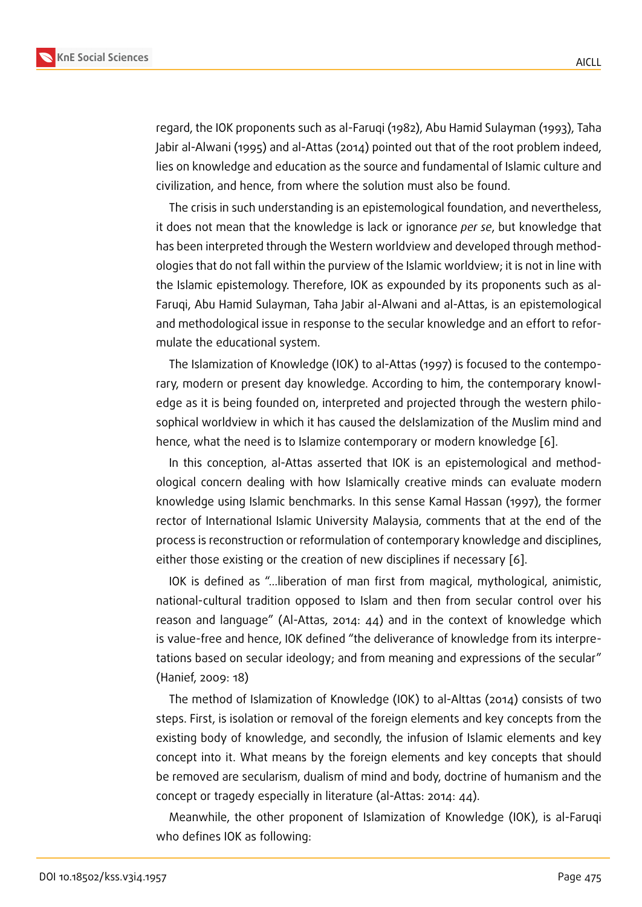regard, the IOK proponents such as al-Faruqi (1982), Abu Hamid Sulayman (1993), Taha Jabir al-Alwani (1995) and al-Attas (2014) pointed out that of the root problem indeed, lies on knowledge and education as the source and fundamental of Islamic culture and civilization, and hence, from where the solution must also be found.

The crisis in such understanding is an epistemological foundation, and nevertheless, it does not mean that the knowledge is lack or ignorance *per se*, but knowledge that has been interpreted through the Western worldview and developed through methodologies that do not fall within the purview of the Islamic worldview; it is not in line with the Islamic epistemology. Therefore, IOK as expounded by its proponents such as al-Faruqi, Abu Hamid Sulayman, Taha Jabir al-Alwani and al-Attas, is an epistemological and methodological issue in response to the secular knowledge and an effort to reformulate the educational system.

The Islamization of Knowledge (IOK) to al-Attas (1997) is focused to the contemporary, modern or present day knowledge. According to him, the contemporary knowledge as it is being founded on, interpreted and projected through the western philosophical worldview in which it has caused the deIslamization of the Muslim mind and hence, what the need is to Islamize contemporary or modern knowledge [6].

In this conception, al-Attas asserted that IOK is an epistemological and methodological concern dealing with how Islamically creative minds can evaluate modern knowledge using Islamic benchmarks. In this sense Kamal Hassan (1997), [th](#page-9-1)e former rector of International Islamic University Malaysia, comments that at the end of the process is reconstruction or reformulation of contemporary knowledge and disciplines, either those existing or the creation of new disciplines if necessary [6].

IOK is defined as "…liberation of man first from magical, mythological, animistic, national-cultural tradition opposed to Islam and then from secular control over his reason and language" (Al-Attas, 2014: 44) and in the context of [kno](#page-9-1)wledge which is value-free and hence, IOK defined "the deliverance of knowledge from its interpretations based on secular ideology; and from meaning and expressions of the secular" (Hanief, 2009: 18)

The method of Islamization of Knowledge (IOK) to al-Alttas (2014) consists of two steps. First, is isolation or removal of the foreign elements and key concepts from the existing body of knowledge, and secondly, the infusion of Islamic elements and key concept into it. What means by the foreign elements and key concepts that should be removed are secularism, dualism of mind and body, doctrine of humanism and the concept or tragedy especially in literature (al-Attas: 2014: 44).

Meanwhile, the other proponent of Islamization of Knowledge (IOK), is al-Faruqi who defines IOK as following: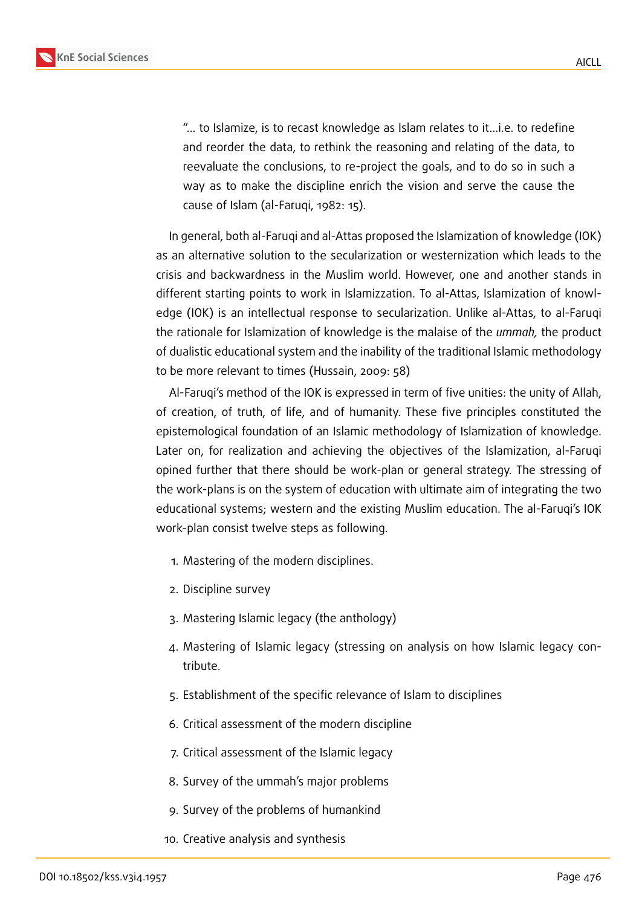"… to Islamize, is to recast knowledge as Islam relates to it…i.e. to redefine and reorder the data, to rethink the reasoning and relating of the data, to reevaluate the conclusions, to re-project the goals, and to do so in such a way as to make the discipline enrich the vision and serve the cause the cause of Islam (al-Faruqi, 1982: 15).

In general, both al-Faruqi and al-Attas proposed the Islamization of knowledge (IOK) as an alternative solution to the secularization or westernization which leads to the crisis and backwardness in the Muslim world. However, one and another stands in different starting points to work in Islamizzation. To al-Attas, Islamization of knowledge (IOK) is an intellectual response to secularization. Unlike al-Attas, to al-Faruqi the rationale for Islamization of knowledge is the malaise of the *ummah,* the product of dualistic educational system and the inability of the traditional Islamic methodology to be more relevant to times (Hussain, 2009: 58)

Al-Faruqi's method of the IOK is expressed in term of five unities: the unity of Allah, of creation, of truth, of life, and of humanity. These five principles constituted the epistemological foundation of an Islamic methodology of Islamization of knowledge. Later on, for realization and achieving the objectives of the Islamization, al-Faruqi opined further that there should be work-plan or general strategy. The stressing of the work-plans is on the system of education with ultimate aim of integrating the two educational systems; western and the existing Muslim education. The al-Faruqi's IOK work-plan consist twelve steps as following.

- 1. Mastering of the modern disciplines.
- 2. Discipline survey
- 3. Mastering Islamic legacy (the anthology)
- 4. Mastering of Islamic legacy (stressing on analysis on how Islamic legacy contribute.
- 5. Establishment of the specific relevance of Islam to disciplines
- 6. Critical assessment of the modern discipline
- 7. Critical assessment of the Islamic legacy
- 8. Survey of the ummah's major problems
- 9. Survey of the problems of humankind
- 10. Creative analysis and synthesis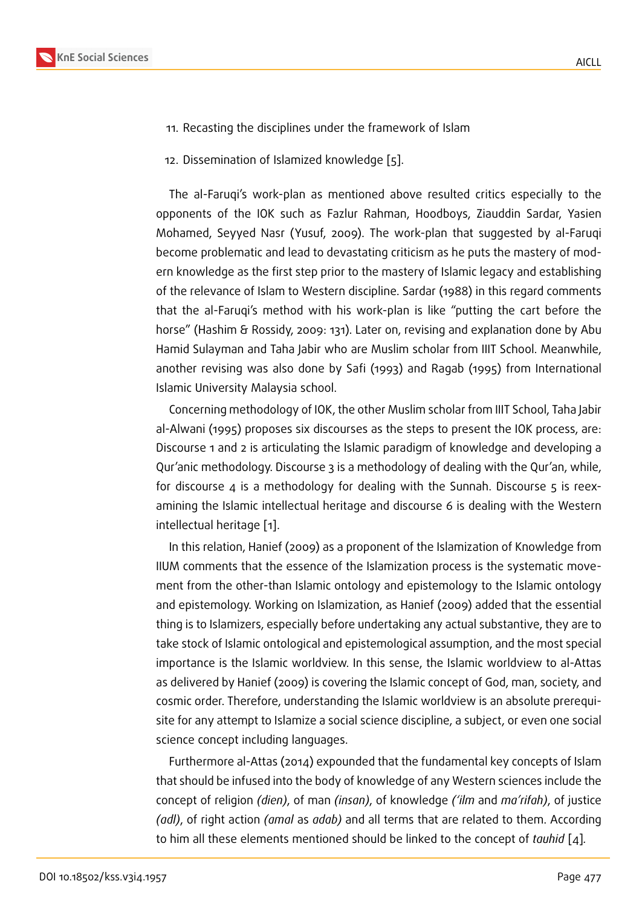- 11. Recasting the disciplines under the framework of Islam
- 12. Dissemination of Islamized knowledge [5].

The al-Faruqi's work-plan as mentioned above resulted critics especially to the opponents of the IOK such as Fazlur Rah[ma](#page-9-2)n, Hoodboys, Ziauddin Sardar, Yasien Mohamed, Seyyed Nasr (Yusuf, 2009). The work-plan that suggested by al-Faruqi become problematic and lead to devastating criticism as he puts the mastery of modern knowledge as the first step prior to the mastery of Islamic legacy and establishing of the relevance of Islam to Western discipline. Sardar (1988) in this regard comments that the al-Faruqi's method with his work-plan is like "putting the cart before the horse" (Hashim & Rossidy, 2009: 131). Later on, revising and explanation done by Abu Hamid Sulayman and Taha Jabir who are Muslim scholar from IIIT School. Meanwhile, another revising was also done by Safi (1993) and Ragab (1995) from International Islamic University Malaysia school.

Concerning methodology of IOK, the other Muslim scholar from IIIT School, Taha Jabir al-Alwani (1995) proposes six discourses as the steps to present the IOK process, are: Discourse 1 and 2 is articulating the Islamic paradigm of knowledge and developing a Qur'anic methodology. Discourse 3 is a methodology of dealing with the Qur'an, while, for discourse 4 is a methodology for dealing with the Sunnah. Discourse  $\overline{5}$  is reexamining the Islamic intellectual heritage and discourse 6 is dealing with the Western intellectual heritage [1].

In this relation, Hanief (2009) as a proponent of the Islamization of Knowledge from IIUM comments that the essence of the Islamization process is the systematic movement from the other[-th](#page-9-3)an Islamic ontology and epistemology to the Islamic ontology and epistemology. Working on Islamization, as Hanief (2009) added that the essential thing is to Islamizers, especially before undertaking any actual substantive, they are to take stock of Islamic ontological and epistemological assumption, and the most special importance is the Islamic worldview. In this sense, the Islamic worldview to al-Attas as delivered by Hanief (2009) is covering the Islamic concept of God, man, society, and cosmic order. Therefore, understanding the Islamic worldview is an absolute prerequisite for any attempt to Islamize a social science discipline, a subject, or even one social science concept including languages.

Furthermore al-Attas (2014) expounded that the fundamental key concepts of Islam that should be infused into the body of knowledge of any Western sciences include the concept of religion *(dien)*, of man *(insan)*, of knowledge *('ilm* and *ma'rifah)*, of justice *(adl)*, of right action *(amal* as *adab)* and all terms that are related to them. According to him all these elements mentioned should be linked to the concept of *tauhid* [4]*.*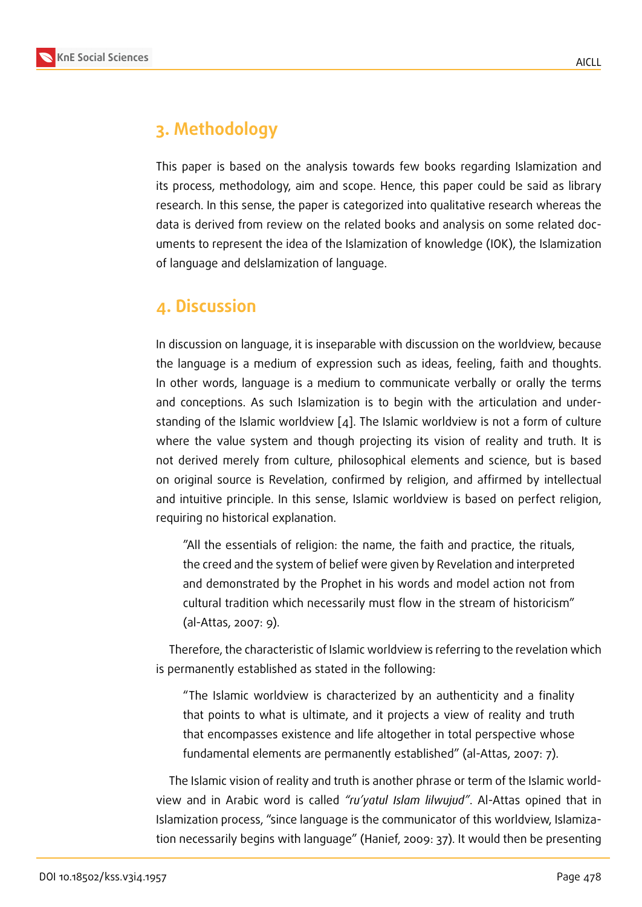### **3. Methodology**

This paper is based on the analysis towards few books regarding Islamization and its process, methodology, aim and scope. Hence, this paper could be said as library research. In this sense, the paper is categorized into qualitative research whereas the data is derived from review on the related books and analysis on some related documents to represent the idea of the Islamization of knowledge (IOK), the Islamization of language and deIslamization of language.

### **4. Discussion**

In discussion on language, it is inseparable with discussion on the worldview, because the language is a medium of expression such as ideas, feeling, faith and thoughts. In other words, language is a medium to communicate verbally or orally the terms and conceptions. As such Islamization is to begin with the articulation and understanding of the Islamic worldview  $\lceil 4 \rceil$ . The Islamic worldview is not a form of culture where the value system and though projecting its vision of reality and truth. It is not derived merely from culture, philosophical elements and science, but is based on original source is Revelation, c[on](#page-9-4)firmed by religion, and affirmed by intellectual and intuitive principle. In this sense, Islamic worldview is based on perfect religion, requiring no historical explanation.

"All the essentials of religion: the name, the faith and practice, the rituals, the creed and the system of belief were given by Revelation and interpreted and demonstrated by the Prophet in his words and model action not from cultural tradition which necessarily must flow in the stream of historicism" (al-Attas, 2007: 9).

Therefore, the characteristic of Islamic worldview is referring to the revelation which is permanently established as stated in the following:

"The Islamic worldview is characterized by an authenticity and a finality that points to what is ultimate, and it projects a view of reality and truth that encompasses existence and life altogether in total perspective whose fundamental elements are permanently established" (al-Attas, 2007: 7).

The Islamic vision of reality and truth is another phrase or term of the Islamic worldview and in Arabic word is called *"ru'yatul Islam lilwujud"*. Al-Attas opined that in Islamization process, "since language is the communicator of this worldview, Islamization necessarily begins with language" (Hanief, 2009: 37). It would then be presenting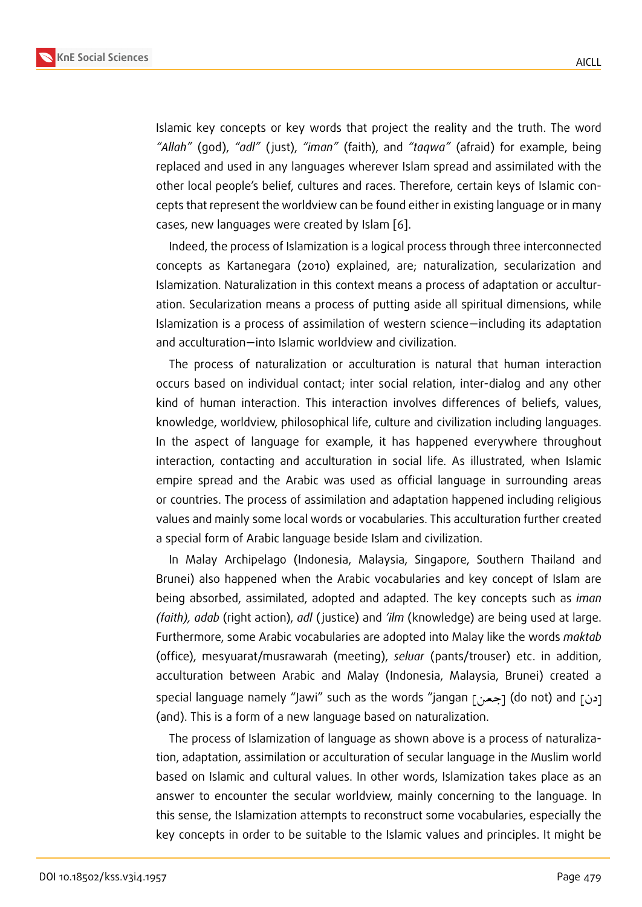Islamic key concepts or key words that project the reality and the truth. The word *"Allah"* (god), *"adl"* ( just), *"iman"* (faith), and *"taqwa"* (afraid) for example, being replaced and used in any languages wherever Islam spread and assimilated with the other local people's belief, cultures and races. Therefore, certain keys of Islamic concepts that represent the worldview can be found either in existing language or in many cases, new languages were created by Islam [6].

Indeed, the process of Islamization is a logical process through three interconnected concepts as Kartanegara (2010) explained, are; naturalization, secularization and Islamization. Naturalization in this context me[an](#page-9-1)s a process of adaptation or acculturation. Secularization means a process of putting aside all spiritual dimensions, while Islamization is a process of assimilation of western science—including its adaptation and acculturation—into Islamic worldview and civilization.

The process of naturalization or acculturation is natural that human interaction occurs based on individual contact; inter social relation, inter-dialog and any other kind of human interaction. This interaction involves differences of beliefs, values, knowledge, worldview, philosophical life, culture and civilization including languages. In the aspect of language for example, it has happened everywhere throughout interaction, contacting and acculturation in social life. As illustrated, when Islamic empire spread and the Arabic was used as official language in surrounding areas or countries. The process of assimilation and adaptation happened including religious values and mainly some local words or vocabularies. This acculturation further created a special form of Arabic language beside Islam and civilization.

In Malay Archipelago (Indonesia, Malaysia, Singapore, Southern Thailand and Brunei) also happened when the Arabic vocabularies and key concept of Islam are being absorbed, assimilated, adopted and adapted. The key concepts such as *iman (faith), adab* (right action), *adl* ( justice) and *'ilm* (knowledge) are being used at large. Furthermore, some Arabic vocabularies are adopted into Malay like the words *maktab* (office), mesyuarat/musrawarah (meeting), *seluar* (pants/trouser) etc. in addition, acculturation between Arabic and Malay (Indonesia, Malaysia, Brunei) created a special language namely "Jawi" such as the words "jangan [جعن] (do not) and [ردن  $\overline{\phantom{a}}$ (and). This is a form of a new language based on naturalization.

The process of Islamization of language as shown above is a process of naturalization, adaptation, assimilation or acculturation of secular language in the Muslim world based on Islamic and cultural values. In other words, Islamization takes place as an answer to encounter the secular worldview, mainly concerning to the language. In this sense, the Islamization attempts to reconstruct some vocabularies, especially the key concepts in order to be suitable to the Islamic values and principles. It might be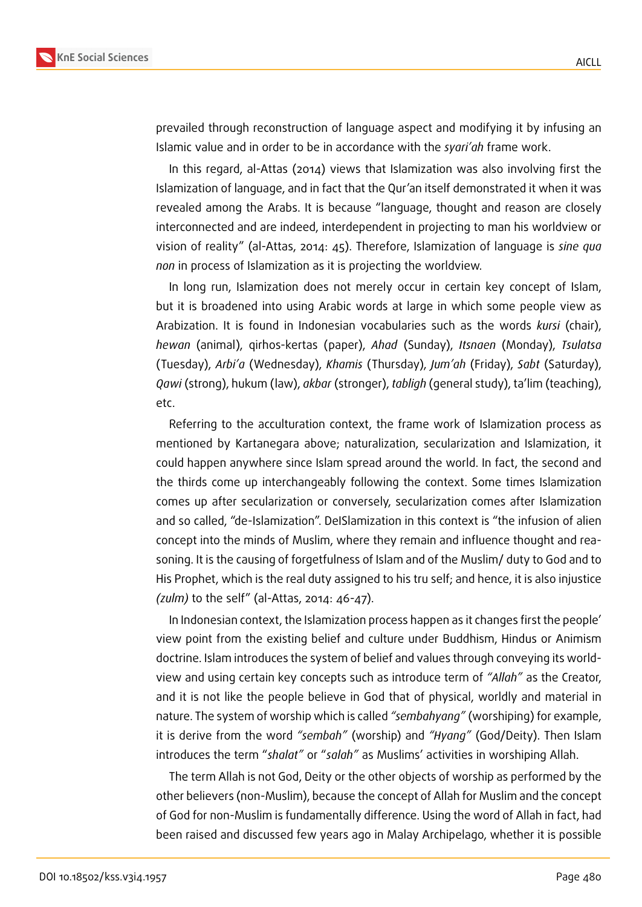

prevailed through reconstruction of language aspect and modifying it by infusing an Islamic value and in order to be in accordance with the *syari'ah* frame work.

In this regard, al-Attas (2014) views that Islamization was also involving first the Islamization of language, and in fact that the Qur'an itself demonstrated it when it was revealed among the Arabs. It is because "language, thought and reason are closely interconnected and are indeed, interdependent in projecting to man his worldview or vision of reality" (al-Attas, 2014: 45). Therefore, Islamization of language is *sine qua non* in process of Islamization as it is projecting the worldview.

In long run, Islamization does not merely occur in certain key concept of Islam, but it is broadened into using Arabic words at large in which some people view as Arabization. It is found in Indonesian vocabularies such as the words *kursi* (chair), *hewan* (animal), qirhos-kertas (paper), *Ahad* (Sunday), *Itsnaen* (Monday), *Tsulatsa* (Tuesday), *Arbi'a* (Wednesday), *Khamis* (Thursday), *Jum'ah* (Friday), *Sabt* (Saturday), *Qawi* (strong), hukum (law), *akbar* (stronger), *tabligh* (general study), ta'lim (teaching), etc.

Referring to the acculturation context, the frame work of Islamization process as mentioned by Kartanegara above; naturalization, secularization and Islamization, it could happen anywhere since Islam spread around the world. In fact, the second and the thirds come up interchangeably following the context. Some times Islamization comes up after secularization or conversely, secularization comes after Islamization and so called, "de-Islamization". DeISlamization in this context is "the infusion of alien concept into the minds of Muslim, where they remain and influence thought and reasoning. It is the causing of forgetfulness of Islam and of the Muslim/ duty to God and to His Prophet, which is the real duty assigned to his tru self; and hence, it is also injustice *(zulm)* to the self" (al-Attas, 2014: 46-47).

In Indonesian context, the Islamization process happen as it changes first the people' view point from the existing belief and culture under Buddhism, Hindus or Animism doctrine. Islam introduces the system of belief and values through conveying its worldview and using certain key concepts such as introduce term of *"Allah"* as the Creator, and it is not like the people believe in God that of physical, worldly and material in nature. The system of worship which is called *"sembahyang"* (worshiping) for example, it is derive from the word *"sembah"* (worship) and *"Hyang"* (God/Deity). Then Islam introduces the term "*shalat"* or "*salah"* as Muslims' activities in worshiping Allah.

The term Allah is not God, Deity or the other objects of worship as performed by the other believers (non-Muslim), because the concept of Allah for Muslim and the concept of God for non-Muslim is fundamentally difference. Using the word of Allah in fact, had been raised and discussed few years ago in Malay Archipelago, whether it is possible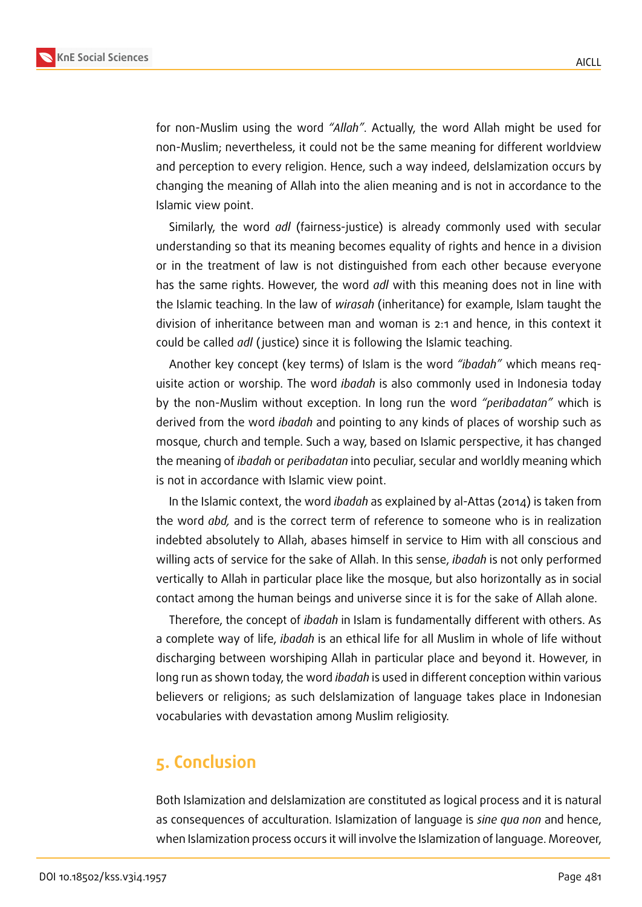

for non-Muslim using the word *"Allah"*. Actually, the word Allah might be used for non-Muslim; nevertheless, it could not be the same meaning for different worldview and perception to every religion. Hence, such a way indeed, deIslamization occurs by changing the meaning of Allah into the alien meaning and is not in accordance to the Islamic view point.

Similarly, the word *adl* (fairness-justice) is already commonly used with secular understanding so that its meaning becomes equality of rights and hence in a division or in the treatment of law is not distinguished from each other because everyone has the same rights. However, the word *adl* with this meaning does not in line with the Islamic teaching. In the law of *wirasah* (inheritance) for example, Islam taught the division of inheritance between man and woman is 2:1 and hence, in this context it could be called *adl* ( justice) since it is following the Islamic teaching.

Another key concept (key terms) of Islam is the word *"ibadah"* which means requisite action or worship. The word *ibadah* is also commonly used in Indonesia today by the non-Muslim without exception. In long run the word *"peribadatan"* which is derived from the word *ibadah* and pointing to any kinds of places of worship such as mosque, church and temple. Such a way, based on Islamic perspective, it has changed the meaning of *ibadah* or *peribadatan* into peculiar, secular and worldly meaning which is not in accordance with Islamic view point.

In the Islamic context, the word *ibadah* as explained by al-Attas (2014) is taken from the word *abd,* and is the correct term of reference to someone who is in realization indebted absolutely to Allah, abases himself in service to Him with all conscious and willing acts of service for the sake of Allah. In this sense, *ibadah* is not only performed vertically to Allah in particular place like the mosque, but also horizontally as in social contact among the human beings and universe since it is for the sake of Allah alone.

Therefore, the concept of *ibadah* in Islam is fundamentally different with others. As a complete way of life, *ibadah* is an ethical life for all Muslim in whole of life without discharging between worshiping Allah in particular place and beyond it. However, in long run as shown today, the word *ibadah* is used in different conception within various believers or religions; as such deIslamization of language takes place in Indonesian vocabularies with devastation among Muslim religiosity.

### **5. Conclusion**

Both Islamization and deIslamization are constituted as logical process and it is natural as consequences of acculturation. Islamization of language is *sine qua non* and hence, when Islamization process occurs it will involve the Islamization of language. Moreover,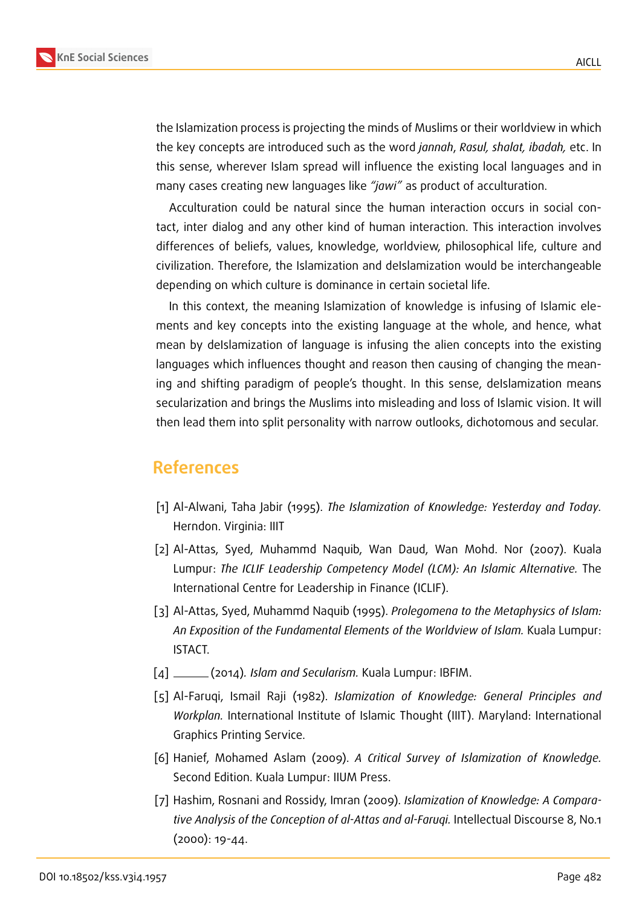

the Islamization process is projecting the minds of Muslims or their worldview in which the key concepts are introduced such as the word *jannah*, *Rasul, shalat, ibadah,* etc. In this sense, wherever Islam spread will influence the existing local languages and in many cases creating new languages like *"jawi"* as product of acculturation.

Acculturation could be natural since the human interaction occurs in social contact, inter dialog and any other kind of human interaction. This interaction involves differences of beliefs, values, knowledge, worldview, philosophical life, culture and civilization. Therefore, the Islamization and deIslamization would be interchangeable depending on which culture is dominance in certain societal life.

In this context, the meaning Islamization of knowledge is infusing of Islamic elements and key concepts into the existing language at the whole, and hence, what mean by deIslamization of language is infusing the alien concepts into the existing languages which influences thought and reason then causing of changing the meaning and shifting paradigm of people's thought. In this sense, deIslamization means secularization and brings the Muslims into misleading and loss of Islamic vision. It will then lead them into split personality with narrow outlooks, dichotomous and secular.

### **References**

- <span id="page-9-3"></span>[1] Al-Alwani, Taha Jabir (1995). *The Islamization of Knowledge: Yesterday and Today.* Herndon. Virginia: IIIT
- [2] Al-Attas, Syed, Muhammd Naquib, Wan Daud, Wan Mohd. Nor (2007). Kuala Lumpur: *The ICLIF Leadership Competency Model (LCM): An Islamic Alternative.* The International Centre for Leadership in Finance (ICLIF).
- <span id="page-9-0"></span>[3] Al-Attas, Syed, Muhammd Naquib (1995). *Prolegomena to the Metaphysics of Islam: An Exposition of the Fundamental Elements of the Worldview of Islam.* Kuala Lumpur: ISTACT.
- <span id="page-9-4"></span>[4] (2014)*. Islam and Secularism.* Kuala Lumpur: IBFIM.
- <span id="page-9-2"></span>[5] Al-Faruqi, Ismail Raji (1982). *Islamization of Knowledge: General Principles and Workplan.* International Institute of Islamic Thought (IIIT). Maryland: International Graphics Printing Service.
- <span id="page-9-1"></span>[6] Hanief, Mohamed Aslam (2009). *A Critical Survey of Islamization of Knowledge.* Second Edition. Kuala Lumpur: IIUM Press.
- [7] Hashim, Rosnani and Rossidy, Imran (2009). *Islamization of Knowledge: A Comparative Analysis of the Conception of al-Attas and al-Faruqi.* Intellectual Discourse 8, No.1 (2000): 19-44.